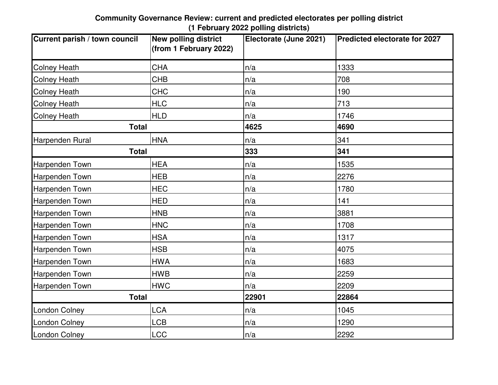| Current parish / town council | <b>New polling district</b><br>(from 1 February 2022) | Electorate (June 2021) | <b>Predicted electorate for 2027</b> |
|-------------------------------|-------------------------------------------------------|------------------------|--------------------------------------|
| <b>Colney Heath</b>           | <b>CHA</b>                                            | n/a                    | 1333                                 |
| <b>Colney Heath</b>           | <b>CHB</b>                                            | n/a                    | 708                                  |
| <b>Colney Heath</b>           | <b>CHC</b>                                            | n/a                    | 190                                  |
| <b>Colney Heath</b>           | <b>HLC</b>                                            | n/a                    | 713                                  |
| <b>Colney Heath</b>           | <b>HLD</b>                                            | n/a                    | 1746                                 |
| <b>Total</b>                  |                                                       | 4625                   | 4690                                 |
| Harpenden Rural               | <b>HNA</b>                                            | n/a                    | 341                                  |
| <b>Total</b>                  |                                                       | 333                    | 341                                  |
| Harpenden Town                | <b>HEA</b>                                            | n/a                    | 1535                                 |
| <b>Harpenden Town</b>         | <b>HEB</b>                                            | n/a                    | 2276                                 |
| Harpenden Town                | <b>HEC</b>                                            | n/a                    | 1780                                 |
| Harpenden Town                | <b>HED</b>                                            | n/a                    | 141                                  |
| <b>Harpenden Town</b>         | <b>HNB</b>                                            | n/a                    | 3881                                 |
| Harpenden Town                | <b>HNC</b>                                            | n/a                    | 1708                                 |
| Harpenden Town                | <b>HSA</b>                                            | n/a                    | 1317                                 |
| Harpenden Town                | <b>HSB</b>                                            | n/a                    | 4075                                 |
| Harpenden Town                | <b>HWA</b>                                            | n/a                    | 1683                                 |
| Harpenden Town                | <b>HWB</b>                                            | n/a                    | 2259                                 |
| Harpenden Town                | <b>HWC</b>                                            | n/a                    | 2209                                 |
| <b>Total</b>                  |                                                       | 22901                  | 22864                                |
| <b>London Colney</b>          | <b>LCA</b>                                            | n/a                    | 1045                                 |
| <b>London Colney</b>          | <b>LCB</b>                                            | n/a                    | 1290                                 |
| <b>London Colney</b>          | <b>LCC</b>                                            | n/a                    | 2292                                 |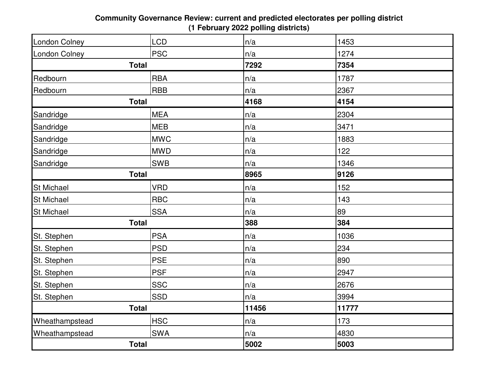| <b>London Colney</b> | <b>LCD</b> | n/a   | 1453  |  |
|----------------------|------------|-------|-------|--|
| <b>London Colney</b> | <b>PSC</b> | n/a   | 1274  |  |
| <b>Total</b>         |            | 7292  | 7354  |  |
| Redbourn             | <b>RBA</b> | n/a   | 1787  |  |
| Redbourn             | <b>RBB</b> | n/a   | 2367  |  |
| <b>Total</b>         |            | 4168  | 4154  |  |
| Sandridge            | <b>MEA</b> | n/a   | 2304  |  |
| Sandridge            | <b>MEB</b> | n/a   | 3471  |  |
| Sandridge            | <b>MWC</b> | n/a   | 1883  |  |
| Sandridge            | <b>MWD</b> | n/a   | 122   |  |
| Sandridge            | <b>SWB</b> | n/a   | 1346  |  |
| <b>Total</b>         |            | 8965  | 9126  |  |
| <b>St Michael</b>    | <b>VRD</b> | n/a   | 152   |  |
| <b>St Michael</b>    | <b>RBC</b> | n/a   | 143   |  |
| <b>St Michael</b>    | <b>SSA</b> | n/a   | 89    |  |
| <b>Total</b>         |            | 388   | 384   |  |
| St. Stephen          | <b>PSA</b> | n/a   | 1036  |  |
| St. Stephen          | <b>PSD</b> | n/a   | 234   |  |
| St. Stephen          | <b>PSE</b> | n/a   | 890   |  |
| St. Stephen          | <b>PSF</b> | n/a   | 2947  |  |
| St. Stephen          | <b>SSC</b> | n/a   | 2676  |  |
| St. Stephen          | <b>SSD</b> | n/a   | 3994  |  |
| <b>Total</b>         |            | 11456 | 11777 |  |
| Wheathampstead       | <b>HSC</b> | n/a   | 173   |  |
| Wheathampstead       | <b>SWA</b> | n/a   | 4830  |  |
| <b>Total</b>         |            | 5002  | 5003  |  |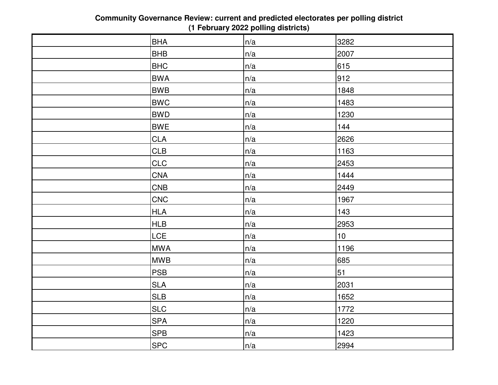| <b>BHA</b> | n/a | 3282 |
|------------|-----|------|
| <b>BHB</b> | n/a | 2007 |
| <b>BHC</b> | n/a | 615  |
| <b>BWA</b> | n/a | 912  |
| <b>BWB</b> | n/a | 1848 |
| <b>BWC</b> | n/a | 1483 |
| <b>BWD</b> | n/a | 1230 |
| <b>BWE</b> | n/a | 144  |
| <b>CLA</b> | n/a | 2626 |
| <b>CLB</b> | n/a | 1163 |
| <b>CLC</b> | n/a | 2453 |
| <b>CNA</b> | n/a | 1444 |
| <b>CNB</b> | n/a | 2449 |
| CNC        | n/a | 1967 |
| <b>HLA</b> | n/a | 143  |
| <b>HLB</b> | n/a | 2953 |
| <b>LCE</b> | n/a | 10   |
| <b>MWA</b> | n/a | 1196 |
| <b>MWB</b> | n/a | 685  |
| PSB        | n/a | 51   |
| <b>SLA</b> | n/a | 2031 |
| <b>SLB</b> | n/a | 1652 |
| <b>SLC</b> | n/a | 1772 |
| <b>SPA</b> | n/a | 1220 |
| <b>SPB</b> | n/a | 1423 |
| <b>SPC</b> | n/a | 2994 |